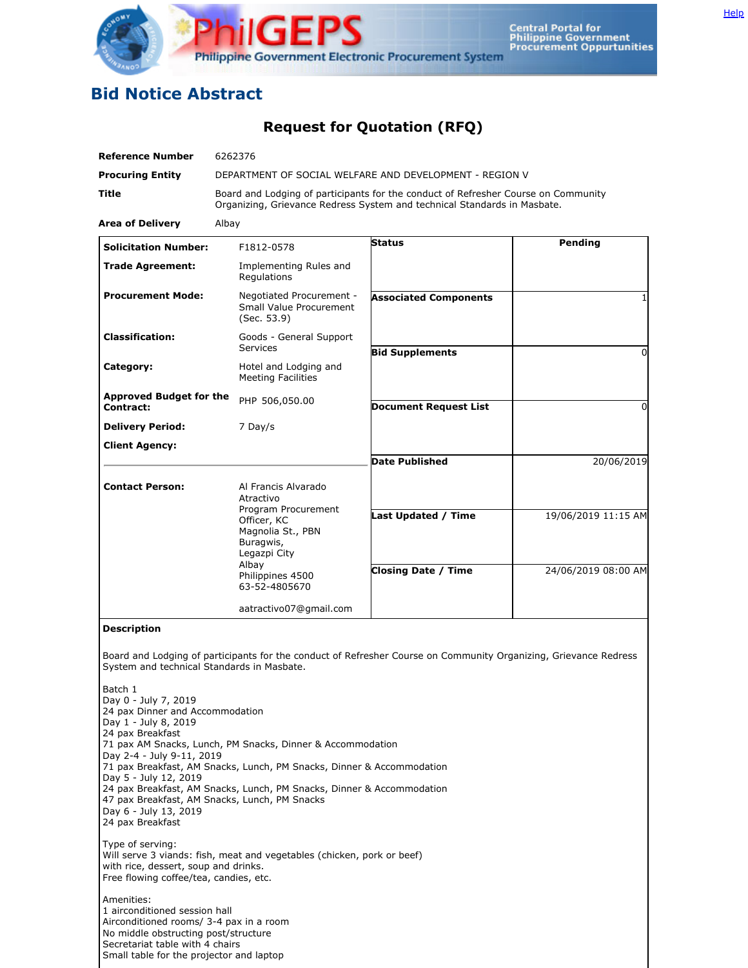

## **Bid Notice Abstract**

**Request for Quotation (RFQ)**

| <b>Procuring Entity</b><br>Title<br><b>Area of Delivery</b><br><b>Solicitation Number:</b><br><b>Trade Agreement:</b><br><b>Procurement Mode:</b><br><b>Classification:</b><br>Category:<br><b>Approved Budget for the</b><br>Contract:<br><b>Delivery Period:</b><br><b>Client Agency:</b><br><b>Contact Person:</b> | Albay<br>F1812-0578<br>Implementing Rules and<br>Regulations<br>Negotiated Procurement -<br>Small Value Procurement<br>(Sec. 53.9)<br>Goods - General Support<br><b>Services</b><br>Hotel and Lodging and<br><b>Meeting Facilities</b><br>PHP 506,050.00<br>7 Day/s | DEPARTMENT OF SOCIAL WELFARE AND DEVELOPMENT - REGION V<br>Board and Lodging of participants for the conduct of Refresher Course on Community<br>Organizing, Grievance Redress System and technical Standards in Masbate.<br><b>Status</b><br><b>Associated Components</b><br><b>Bid Supplements</b><br><b>Document Request List</b> | Pending<br>$\Omega$ |
|-----------------------------------------------------------------------------------------------------------------------------------------------------------------------------------------------------------------------------------------------------------------------------------------------------------------------|---------------------------------------------------------------------------------------------------------------------------------------------------------------------------------------------------------------------------------------------------------------------|--------------------------------------------------------------------------------------------------------------------------------------------------------------------------------------------------------------------------------------------------------------------------------------------------------------------------------------|---------------------|
|                                                                                                                                                                                                                                                                                                                       |                                                                                                                                                                                                                                                                     |                                                                                                                                                                                                                                                                                                                                      |                     |
|                                                                                                                                                                                                                                                                                                                       |                                                                                                                                                                                                                                                                     |                                                                                                                                                                                                                                                                                                                                      |                     |
|                                                                                                                                                                                                                                                                                                                       |                                                                                                                                                                                                                                                                     |                                                                                                                                                                                                                                                                                                                                      |                     |
|                                                                                                                                                                                                                                                                                                                       |                                                                                                                                                                                                                                                                     |                                                                                                                                                                                                                                                                                                                                      |                     |
|                                                                                                                                                                                                                                                                                                                       |                                                                                                                                                                                                                                                                     |                                                                                                                                                                                                                                                                                                                                      |                     |
|                                                                                                                                                                                                                                                                                                                       |                                                                                                                                                                                                                                                                     |                                                                                                                                                                                                                                                                                                                                      |                     |
|                                                                                                                                                                                                                                                                                                                       |                                                                                                                                                                                                                                                                     |                                                                                                                                                                                                                                                                                                                                      |                     |
|                                                                                                                                                                                                                                                                                                                       |                                                                                                                                                                                                                                                                     |                                                                                                                                                                                                                                                                                                                                      |                     |
|                                                                                                                                                                                                                                                                                                                       |                                                                                                                                                                                                                                                                     |                                                                                                                                                                                                                                                                                                                                      | 0                   |
|                                                                                                                                                                                                                                                                                                                       |                                                                                                                                                                                                                                                                     |                                                                                                                                                                                                                                                                                                                                      |                     |
|                                                                                                                                                                                                                                                                                                                       |                                                                                                                                                                                                                                                                     |                                                                                                                                                                                                                                                                                                                                      |                     |
|                                                                                                                                                                                                                                                                                                                       |                                                                                                                                                                                                                                                                     | <b>Date Published</b>                                                                                                                                                                                                                                                                                                                | 20/06/2019          |
|                                                                                                                                                                                                                                                                                                                       | Al Francis Alvarado<br>Atractivo<br>Program Procurement<br>Officer, KC<br>Magnolia St., PBN<br>Buragwis,<br>Legazpi City<br>Albay<br>Philippines 4500<br>63-52-4805670                                                                                              | Last Updated / Time                                                                                                                                                                                                                                                                                                                  | 19/06/2019 11:15 AM |
|                                                                                                                                                                                                                                                                                                                       |                                                                                                                                                                                                                                                                     | <b>Closing Date / Time</b>                                                                                                                                                                                                                                                                                                           | 24/06/2019 08:00 AM |
|                                                                                                                                                                                                                                                                                                                       | aatractivo07@gmail.com                                                                                                                                                                                                                                              |                                                                                                                                                                                                                                                                                                                                      |                     |
| <b>Description</b><br>System and technical Standards in Masbate.                                                                                                                                                                                                                                                      |                                                                                                                                                                                                                                                                     | Board and Lodging of participants for the conduct of Refresher Course on Community Organizing, Grievance Redress                                                                                                                                                                                                                     |                     |
| Batch 1<br>Day 0 - July 7, 2019<br>24 pax Dinner and Accommodation<br>Day 1 - July 8, 2019<br>24 pax Breakfast<br>Day 2-4 - July 9-11, 2019<br>Day 5 - July 12, 2019<br>47 pax Breakfast, AM Snacks, Lunch, PM Snacks<br>Day 6 - July 13, 2019<br>24 pax Breakfast                                                    | 71 pax AM Snacks, Lunch, PM Snacks, Dinner & Accommodation<br>71 pax Breakfast, AM Snacks, Lunch, PM Snacks, Dinner & Accommodation<br>24 pax Breakfast, AM Snacks, Lunch, PM Snacks, Dinner & Accommodation                                                        |                                                                                                                                                                                                                                                                                                                                      |                     |
| Type of serving:<br>with rice, dessert, soup and drinks.<br>Free flowing coffee/tea, candies, etc.<br>Amenities:<br>1 airconditioned session hall<br>Airconditioned rooms/ 3-4 pax in a room<br>No middle obstructing post/structure<br>Secretariat table with 4 chairs                                               | Will serve 3 viands: fish, meat and vegetables (chicken, pork or beef)                                                                                                                                                                                              |                                                                                                                                                                                                                                                                                                                                      |                     |